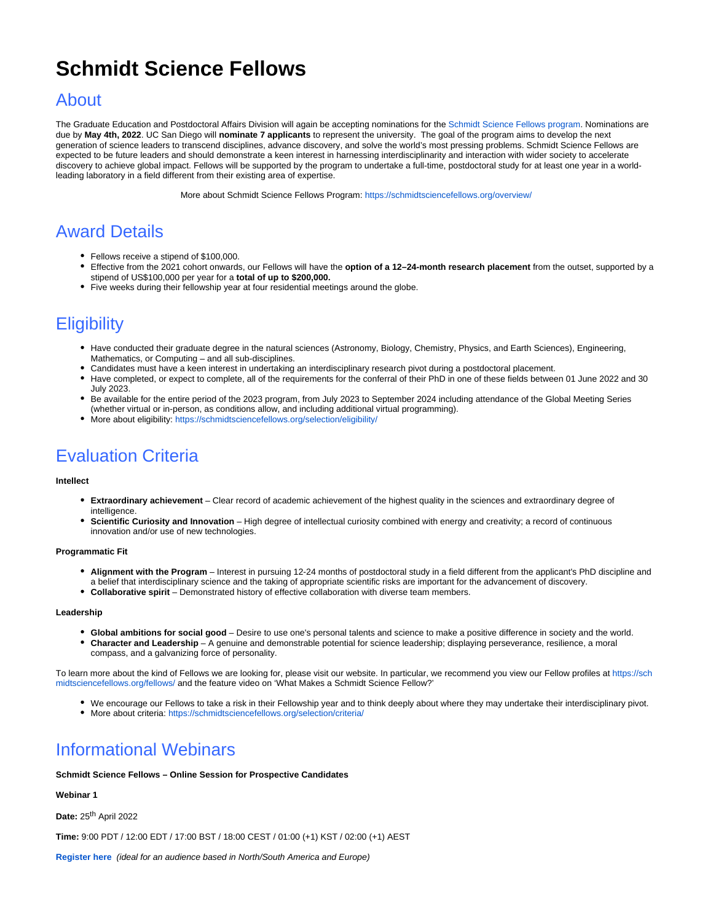## **Schmidt Science Fellows**

### About

The Graduate Education and Postdoctoral Affairs Division will again be accepting nominations for the [Schmidt Science Fellows program.](https://schmidtsciencefellows.org/) Nominations are due by **May 4th, 2022**. UC San Diego will **nominate 7 applicants** to represent the university. The goal of the program aims to develop the next generation of science leaders to transcend disciplines, advance discovery, and solve the world's most pressing problems. Schmidt Science Fellows are expected to be future leaders and should demonstrate a keen interest in harnessing interdisciplinarity and interaction with wider society to accelerate discovery to achieve global impact. Fellows will be supported by the program to undertake a full-time, postdoctoral study for at least one year in a worldleading laboratory in a field different from their existing area of expertise.

More about Schmidt Science Fellows Program: <https://schmidtsciencefellows.org/overview/>

### Award Details

- Fellows receive a stipend of \$100,000.
- Effective from the 2021 cohort onwards, our Fellows will have the **option of a 12–24-month research placement** from the outset, supported by a stipend of US\$100,000 per year for a **total of up to \$200,000.**
- Five weeks during their fellowship year at four residential meetings around the globe.

### **Eligibility**

- Have conducted their graduate degree in the natural sciences (Astronomy, Biology, Chemistry, Physics, and Earth Sciences), Engineering, Mathematics, or Computing – and all sub-disciplines.
- Candidates must have a keen interest in undertaking an interdisciplinary research pivot during a postdoctoral placement.
- Have completed, or expect to complete, all of the requirements for the conferral of their PhD in one of these fields between 01 June 2022 and 30 July 2023.
- Be available for the entire period of the 2023 program, from July 2023 to September 2024 including attendance of the Global Meeting Series (whether virtual or in-person, as conditions allow, and including additional virtual programming).
- More about eligibility: <https://schmidtsciencefellows.org/selection/eligibility/>

### Evaluation Criteria

#### **Intellect**

- **Extraordinary achievement** Clear record of academic achievement of the highest quality in the sciences and extraordinary degree of intelligence.
- **Scientific Curiosity and Innovation** High degree of intellectual curiosity combined with energy and creativity; a record of continuous innovation and/or use of new technologies.

#### **Programmatic Fit**

- **Alignment with the Program** Interest in pursuing 12-24 months of postdoctoral study in a field different from the applicant's PhD discipline and a belief that interdisciplinary science and the taking of appropriate scientific risks are important for the advancement of discovery.
- **Collaborative spirit** Demonstrated history of effective collaboration with diverse team members.

#### **Leadership**

- **Global ambitions for social good** Desire to use one's personal talents and science to make a positive difference in society and the world.
- **Character and Leadership**  A genuine and demonstrable potential for science leadership; displaying perseverance, resilience, a moral compass, and a galvanizing force of personality.

To learn more about the kind of Fellows we are looking for, please visit our website. In particular, we recommend you view our Fellow profiles at [https://sch](https://schmidtsciencefellows.org/fellows/) [midtsciencefellows.org/fellows/](https://schmidtsciencefellows.org/fellows/) and the feature video on 'What Makes a Schmidt Science Fellow?'

- We encourage our Fellows to take a risk in their Fellowship year and to think deeply about where they may undertake their interdisciplinary pivot.
- More about criteria: <https://schmidtsciencefellows.org/selection/criteria/>

### Informational Webinars

#### **Schmidt Science Fellows – Online Session for Prospective Candidates**

#### **Webinar 1**

**Date: 25<sup>th</sup> April 2022** 

**Time:** 9:00 PDT / 12:00 EDT / 17:00 BST / 18:00 CEST / 01:00 (+1) KST / 02:00 (+1) AEST

**[Register here](https://urldefense.proofpoint.com/v2/url?u=https-3A__us06web.zoom.us_webinar_register_WN-5Fm0ncVKKaSZGvU1v4TzSzkg&d=DwMFaQ&c=-35OiAkTchMrZOngvJPOeA&r=bXuArK1VSgBMX_5Sl0j-MpIWyJqGOvAPwGa4Xe7kPK4&m=rg5GxoLCJpWCqLiSxlr8J0LDcP9ylxiF7-bO0Tn-jj0h12A-FSc30T_r3CM2gAH2&s=g8h_30-g4a0AKmdwslBBgoCekzle57MoHREfv-UNjkQ&e=)** (ideal for an audience based in North/South America and Europe)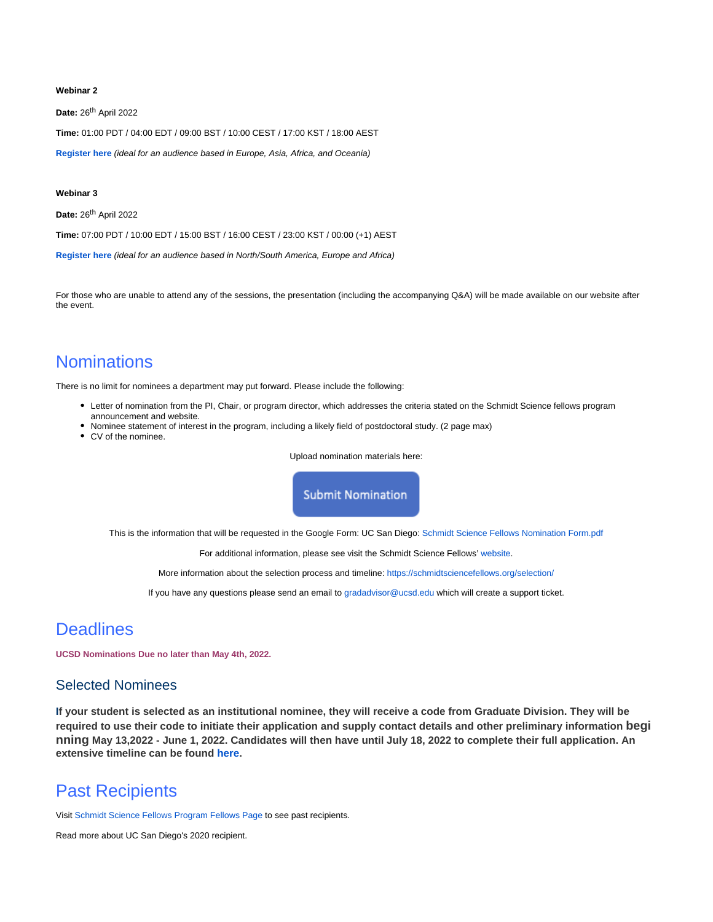#### **Webinar 2**

Date: 26<sup>th</sup> April 2022

**Time:** 01:00 PDT / 04:00 EDT / 09:00 BST / 10:00 CEST / 17:00 KST / 18:00 AEST

**[Register here](https://urldefense.proofpoint.com/v2/url?u=https-3A__us06web.zoom.us_webinar_register_WN-5Fb2DQMG5MTXWFFvx9j8kiug&d=DwMFaQ&c=-35OiAkTchMrZOngvJPOeA&r=bXuArK1VSgBMX_5Sl0j-MpIWyJqGOvAPwGa4Xe7kPK4&m=rg5GxoLCJpWCqLiSxlr8J0LDcP9ylxiF7-bO0Tn-jj0h12A-FSc30T_r3CM2gAH2&s=eFYg6v-54YiQMBnCIKufiyqa6Qughge571sbnmMaaAw&e=)** (ideal for an audience based in Europe, Asia, Africa, and Oceania)

#### **Webinar 3**

**Date: 26<sup>th</sup> April 2022** 

**Time:** 07:00 PDT / 10:00 EDT / 15:00 BST / 16:00 CEST / 23:00 KST / 00:00 (+1) AEST

**[Register here](https://urldefense.proofpoint.com/v2/url?u=https-3A__us06web.zoom.us_webinar_register_WN-5FdmAfzw6gSs6joLHL4494nw&d=DwMFaQ&c=-35OiAkTchMrZOngvJPOeA&r=bXuArK1VSgBMX_5Sl0j-MpIWyJqGOvAPwGa4Xe7kPK4&m=rg5GxoLCJpWCqLiSxlr8J0LDcP9ylxiF7-bO0Tn-jj0h12A-FSc30T_r3CM2gAH2&s=WHt_GcD8UOHCEpuO4_jYeyLr7GrFZQipwKTAMooSYfE&e=)** (ideal for an audience based in North/South America, Europe and Africa)

For those who are unable to attend any of the sessions, the presentation (including the accompanying Q&A) will be made available on our website after the event.

### **Nominations**

There is no limit for nominees a department may put forward. Please include the following:

- Letter of nomination from the PI, Chair, or program director, which addresses the criteria stated on the Schmidt Science fellows program announcement and website.
- Nominee statement of interest in the program, including a likely field of postdoctoral study. (2 page max)
- CV of the nominee.

Upload nomination materials here:

**Submit Nomination** 

This is the information that will be requested in the Google Form: UC San Diego: [Schmidt Science Fellows Nomination Form.pdf](https://collab.ucsd.edu/download/attachments/97864047/SCHMIDT%20SCIENCE%20FELLOWS%20GOOGLE%20FORM%20.pdf?version=1&modificationDate=1649887791000&api=v2)

For additional information, please see visit the Schmidt Science Fellows' [website.](http://www.schmidtsciencefellows.org)

More information about the selection process and timeline:<https://schmidtsciencefellows.org/selection/>

If you have any questions please send an email to [gradadvisor@ucsd.edu](mailto:gradadvisor@ucsd.edu) which will create a support ticket.

### **Deadlines**

**UCSD Nominations Due no later than May 4th, 2022.** 

#### Selected Nominees

**If your student is selected as an institutional nominee, they will receive a code from Graduate Division. They will be required to use their code to initiate their application and supply contact details and other preliminary information begi nning May 13,2022 - June 1, 2022. Candidates will then have until July 18, 2022 to complete their full application. An extensive timeline can be found [here.](https://schmidtsciencefellows.org/selection/)** 

### Past Recipients

Visit [Schmidt Science Fellows Program Fellows Page](https://schmidtsciencefellows.org/fellows/) to see past recipients.

Read more about UC San Diego's 2020 recipient.